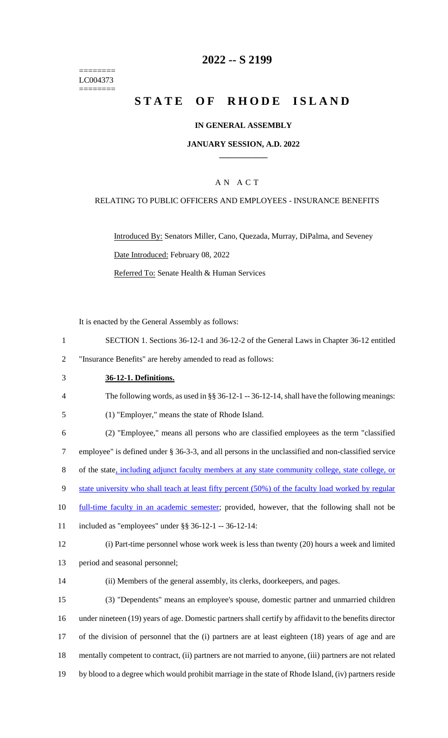======== LC004373 ========

# **2022 -- S 2199**

# **STATE OF RHODE ISLAND**

### **IN GENERAL ASSEMBLY**

#### **JANUARY SESSION, A.D. 2022 \_\_\_\_\_\_\_\_\_\_\_\_**

### A N A C T

# RELATING TO PUBLIC OFFICERS AND EMPLOYEES - INSURANCE BENEFITS

Introduced By: Senators Miller, Cano, Quezada, Murray, DiPalma, and Seveney Date Introduced: February 08, 2022 Referred To: Senate Health & Human Services

It is enacted by the General Assembly as follows:

- 1 SECTION 1. Sections 36-12-1 and 36-12-2 of the General Laws in Chapter 36-12 entitled
- 2 "Insurance Benefits" are hereby amended to read as follows:
- 3 **36-12-1. Definitions.**

4 The following words, as used in §§ 36-12-1 -- 36-12-14, shall have the following meanings:

5 (1) "Employer," means the state of Rhode Island.

6 (2) "Employee," means all persons who are classified employees as the term "classified 7 employee" is defined under § 36-3-3, and all persons in the unclassified and non-classified service 8 of the state, including adjunct faculty members at any state community college, state college, or 9 state university who shall teach at least fifty percent (50%) of the faculty load worked by regular 10 full-time faculty in an academic semester; provided, however, that the following shall not be 11 included as "employees" under §§ 36-12-1 -- 36-12-14: 12 (i) Part-time personnel whose work week is less than twenty (20) hours a week and limited

- 13 period and seasonal personnel;
- 

14 (ii) Members of the general assembly, its clerks, doorkeepers, and pages.

 (3) "Dependents" means an employee's spouse, domestic partner and unmarried children under nineteen (19) years of age. Domestic partners shall certify by affidavit to the benefits director of the division of personnel that the (i) partners are at least eighteen (18) years of age and are mentally competent to contract, (ii) partners are not married to anyone, (iii) partners are not related by blood to a degree which would prohibit marriage in the state of Rhode Island, (iv) partners reside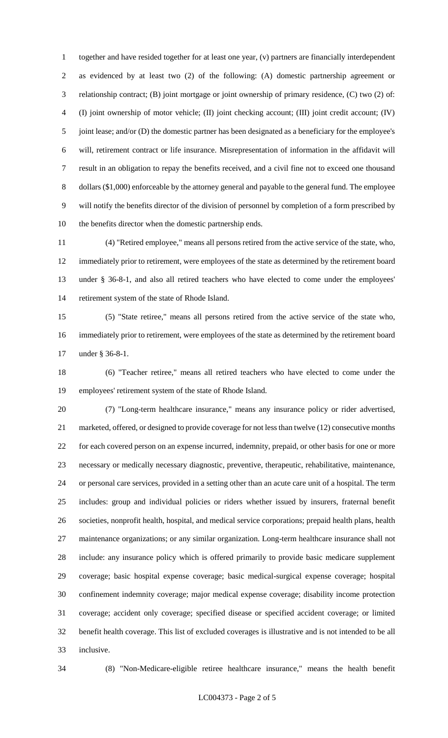together and have resided together for at least one year, (v) partners are financially interdependent as evidenced by at least two (2) of the following: (A) domestic partnership agreement or relationship contract; (B) joint mortgage or joint ownership of primary residence, (C) two (2) of: (I) joint ownership of motor vehicle; (II) joint checking account; (III) joint credit account; (IV) joint lease; and/or (D) the domestic partner has been designated as a beneficiary for the employee's will, retirement contract or life insurance. Misrepresentation of information in the affidavit will result in an obligation to repay the benefits received, and a civil fine not to exceed one thousand dollars (\$1,000) enforceable by the attorney general and payable to the general fund. The employee will notify the benefits director of the division of personnel by completion of a form prescribed by the benefits director when the domestic partnership ends.

 (4) "Retired employee," means all persons retired from the active service of the state, who, immediately prior to retirement, were employees of the state as determined by the retirement board under § 36-8-1, and also all retired teachers who have elected to come under the employees' retirement system of the state of Rhode Island.

 (5) "State retiree," means all persons retired from the active service of the state who, immediately prior to retirement, were employees of the state as determined by the retirement board under § 36-8-1.

 (6) "Teacher retiree," means all retired teachers who have elected to come under the employees' retirement system of the state of Rhode Island.

 (7) "Long-term healthcare insurance," means any insurance policy or rider advertised, marketed, offered, or designed to provide coverage for not less than twelve (12) consecutive months for each covered person on an expense incurred, indemnity, prepaid, or other basis for one or more necessary or medically necessary diagnostic, preventive, therapeutic, rehabilitative, maintenance, or personal care services, provided in a setting other than an acute care unit of a hospital. The term includes: group and individual policies or riders whether issued by insurers, fraternal benefit societies, nonprofit health, hospital, and medical service corporations; prepaid health plans, health maintenance organizations; or any similar organization. Long-term healthcare insurance shall not include: any insurance policy which is offered primarily to provide basic medicare supplement coverage; basic hospital expense coverage; basic medical-surgical expense coverage; hospital confinement indemnity coverage; major medical expense coverage; disability income protection coverage; accident only coverage; specified disease or specified accident coverage; or limited benefit health coverage. This list of excluded coverages is illustrative and is not intended to be all inclusive.

(8) "Non-Medicare-eligible retiree healthcare insurance," means the health benefit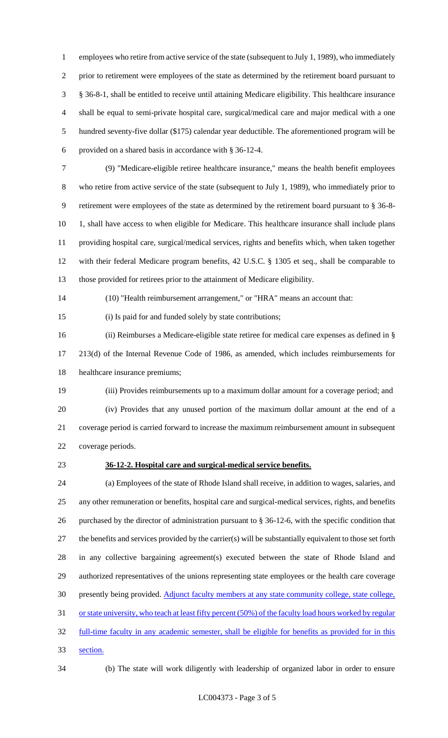employees who retire from active service of the state (subsequent to July 1, 1989), who immediately prior to retirement were employees of the state as determined by the retirement board pursuant to § 36-8-1, shall be entitled to receive until attaining Medicare eligibility. This healthcare insurance shall be equal to semi-private hospital care, surgical/medical care and major medical with a one hundred seventy-five dollar (\$175) calendar year deductible. The aforementioned program will be provided on a shared basis in accordance with § 36-12-4.

 (9) "Medicare-eligible retiree healthcare insurance," means the health benefit employees who retire from active service of the state (subsequent to July 1, 1989), who immediately prior to retirement were employees of the state as determined by the retirement board pursuant to § 36-8- 10 1, shall have access to when eligible for Medicare. This healthcare insurance shall include plans providing hospital care, surgical/medical services, rights and benefits which, when taken together with their federal Medicare program benefits, 42 U.S.C. § 1305 et seq., shall be comparable to those provided for retirees prior to the attainment of Medicare eligibility.

(10) "Health reimbursement arrangement," or "HRA" means an account that:

(i) Is paid for and funded solely by state contributions;

 (ii) Reimburses a Medicare-eligible state retiree for medical care expenses as defined in § 213(d) of the Internal Revenue Code of 1986, as amended, which includes reimbursements for healthcare insurance premiums;

 (iii) Provides reimbursements up to a maximum dollar amount for a coverage period; and (iv) Provides that any unused portion of the maximum dollar amount at the end of a coverage period is carried forward to increase the maximum reimbursement amount in subsequent coverage periods.

#### **36-12-2. Hospital care and surgical-medical service benefits.**

 (a) Employees of the state of Rhode Island shall receive, in addition to wages, salaries, and any other remuneration or benefits, hospital care and surgical-medical services, rights, and benefits purchased by the director of administration pursuant to § 36-12-6, with the specific condition that the benefits and services provided by the carrier(s) will be substantially equivalent to those set forth in any collective bargaining agreement(s) executed between the state of Rhode Island and authorized representatives of the unions representing state employees or the health care coverage presently being provided. Adjunct faculty members at any state community college, state college, 31 or state university, who teach at least fifty percent (50%) of the faculty load hours worked by regular full-time faculty in any academic semester, shall be eligible for benefits as provided for in this section.

(b) The state will work diligently with leadership of organized labor in order to ensure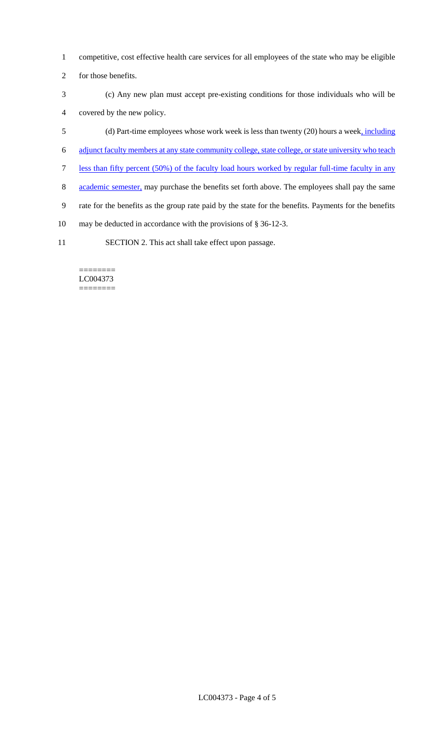- 1 competitive, cost effective health care services for all employees of the state who may be eligible
- 2 for those benefits.
- 3 (c) Any new plan must accept pre-existing conditions for those individuals who will be 4 covered by the new policy.
- 5 (d) Part-time employees whose work week is less than twenty (20) hours a week, including
- 6 adjunct faculty members at any state community college, state college, or state university who teach
- 7 less than fifty percent (50%) of the faculty load hours worked by regular full-time faculty in any
- 8 academic semester, may purchase the benefits set forth above. The employees shall pay the same
- 9 rate for the benefits as the group rate paid by the state for the benefits. Payments for the benefits
- 10 may be deducted in accordance with the provisions of § 36-12-3.
- 11 SECTION 2. This act shall take effect upon passage.

#### ======== LC004373 ========